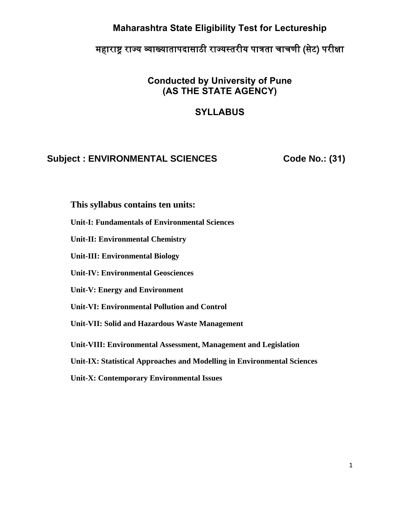### **Maharashtra State Eligibility Test for Lectureship**

# महाराष्ट्र राज्य व्याख्यातापदासाठी राज्यस्तरीय पात्रता चाचणी (सेट) परीक्षा

## **Conducted by University of Pune (AS THE STATE AGENCY)**

### **SYLLABUS**

#### **Subject : ENVIRONMENTAL SCIENCES** Code No.: (31)

**This syllabus contains ten units:** 

**Unit-I: Fundamentals of Environmental Sciences**

**Unit-II: Environmental Chemistry** 

**Unit-III: Environmental Biology**

**Unit-IV: Environmental Geosciences** 

**Unit-V: Energy and Environment**

**Unit-VI: Environmental Pollution and Control** 

**Unit-VII: Solid and Hazardous Waste Management** 

**Unit-VIII: Environmental Assessment, Management and Legislation** 

**Unit-IX: Statistical Approaches and Modelling in Environmental Sciences** 

**Unit-X: Contemporary Environmental Issues**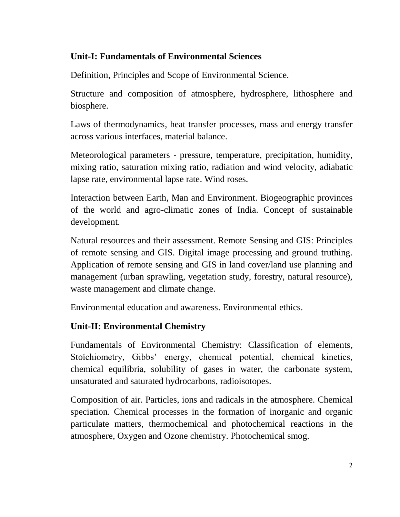### **Unit-I: Fundamentals of Environmental Sciences**

Definition, Principles and Scope of Environmental Science.

Structure and composition of atmosphere, hydrosphere, lithosphere and biosphere.

Laws of thermodynamics, heat transfer processes, mass and energy transfer across various interfaces, material balance.

Meteorological parameters - pressure, temperature, precipitation, humidity, mixing ratio, saturation mixing ratio, radiation and wind velocity, adiabatic lapse rate, environmental lapse rate. Wind roses.

Interaction between Earth, Man and Environment. Biogeographic provinces of the world and agro-climatic zones of India. Concept of sustainable development.

Natural resources and their assessment. Remote Sensing and GIS: Principles of remote sensing and GIS. Digital image processing and ground truthing. Application of remote sensing and GIS in land cover/land use planning and management (urban sprawling, vegetation study, forestry, natural resource), waste management and climate change.

Environmental education and awareness. Environmental ethics.

## **Unit-II: Environmental Chemistry**

Fundamentals of Environmental Chemistry: Classification of elements, Stoichiometry, Gibbs' energy, chemical potential, chemical kinetics, chemical equilibria, solubility of gases in water, the carbonate system, unsaturated and saturated hydrocarbons, radioisotopes.

Composition of air. Particles, ions and radicals in the atmosphere. Chemical speciation. Chemical processes in the formation of inorganic and organic particulate matters, thermochemical and photochemical reactions in the atmosphere, Oxygen and Ozone chemistry. Photochemical smog.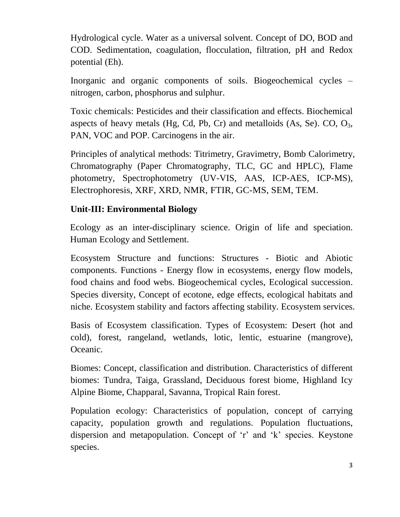Hydrological cycle. Water as a universal solvent. Concept of DO, BOD and COD. Sedimentation, coagulation, flocculation, filtration, pH and Redox potential (Eh).

Inorganic and organic components of soils. Biogeochemical cycles – nitrogen, carbon, phosphorus and sulphur.

Toxic chemicals: Pesticides and their classification and effects. Biochemical aspects of heavy metals (Hg, Cd, Pb, Cr) and metalloids (As, Se). CO,  $O_3$ , PAN, VOC and POP. Carcinogens in the air.

Principles of analytical methods: Titrimetry, Gravimetry, Bomb Calorimetry, Chromatography (Paper Chromatography, TLC, GC and HPLC), Flame photometry, Spectrophotometry (UV-VIS, AAS, ICP-AES, ICP-MS), Electrophoresis, XRF, XRD, NMR, FTIR, GC-MS, SEM, TEM.

#### **Unit-III: Environmental Biology**

Ecology as an inter-disciplinary science. Origin of life and speciation. Human Ecology and Settlement.

Ecosystem Structure and functions: Structures - Biotic and Abiotic components. Functions - Energy flow in ecosystems, energy flow models, food chains and food webs. Biogeochemical cycles, Ecological succession. Species diversity, Concept of ecotone, edge effects, ecological habitats and niche. Ecosystem stability and factors affecting stability. Ecosystem services.

Basis of Ecosystem classification. Types of Ecosystem: Desert (hot and cold), forest, rangeland, wetlands, lotic, lentic, estuarine (mangrove), Oceanic.

Biomes: Concept, classification and distribution. Characteristics of different biomes: Tundra, Taiga, Grassland, Deciduous forest biome, Highland Icy Alpine Biome, Chapparal, Savanna, Tropical Rain forest.

Population ecology: Characteristics of population, concept of carrying capacity, population growth and regulations. Population fluctuations, dispersion and metapopulation. Concept of 'r' and 'k' species. Keystone species.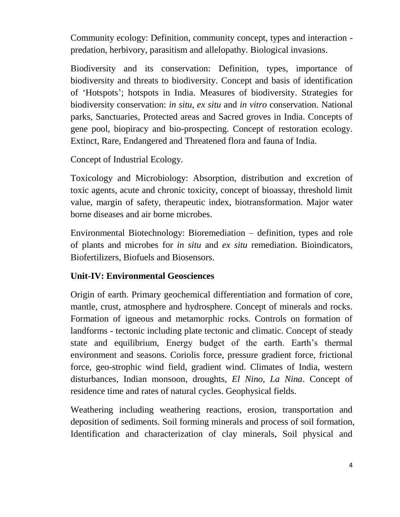Community ecology: Definition, community concept, types and interaction predation, herbivory, parasitism and allelopathy. Biological invasions.

Biodiversity and its conservation: Definition, types, importance of biodiversity and threats to biodiversity. Concept and basis of identification of 'Hotspots'; hotspots in India. Measures of biodiversity. Strategies for biodiversity conservation: *in situ*, *ex situ* and *in vitro* conservation. National parks, Sanctuaries, Protected areas and Sacred groves in India. Concepts of gene pool, biopiracy and bio-prospecting. Concept of restoration ecology. Extinct, Rare, Endangered and Threatened flora and fauna of India.

Concept of Industrial Ecology.

Toxicology and Microbiology: Absorption, distribution and excretion of toxic agents, acute and chronic toxicity, concept of bioassay, threshold limit value, margin of safety, therapeutic index, biotransformation. Major water borne diseases and air borne microbes.

Environmental Biotechnology: Bioremediation – definition, types and role of plants and microbes for *in situ* and *ex situ* remediation. Bioindicators, Biofertilizers, Biofuels and Biosensors.

#### **Unit-IV: Environmental Geosciences**

Origin of earth. Primary geochemical differentiation and formation of core, mantle, crust, atmosphere and hydrosphere. Concept of minerals and rocks. Formation of igneous and metamorphic rocks. Controls on formation of landforms - tectonic including plate tectonic and climatic. Concept of steady state and equilibrium, Energy budget of the earth. Earth's thermal environment and seasons. Coriolis force, pressure gradient force, frictional force, geo-strophic wind field, gradient wind. Climates of India, western disturbances, Indian monsoon, droughts, *El Nino*, *La Nina*. Concept of residence time and rates of natural cycles. Geophysical fields.

Weathering including weathering reactions, erosion, transportation and deposition of sediments. Soil forming minerals and process of soil formation, Identification and characterization of clay minerals, Soil physical and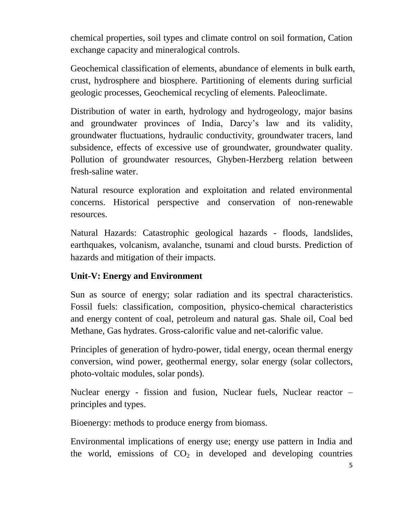chemical properties, soil types and climate control on soil formation, Cation exchange capacity and mineralogical controls.

Geochemical classification of elements, abundance of elements in bulk earth, crust, hydrosphere and biosphere. Partitioning of elements during surficial geologic processes, Geochemical recycling of elements. Paleoclimate.

Distribution of water in earth, hydrology and hydrogeology, major basins and groundwater provinces of India, Darcy's law and its validity, groundwater fluctuations, hydraulic conductivity, groundwater tracers, land subsidence, effects of excessive use of groundwater, groundwater quality. Pollution of groundwater resources, Ghyben-Herzberg relation between fresh-saline water.

Natural resource exploration and exploitation and related environmental concerns. Historical perspective and conservation of non-renewable resources.

Natural Hazards: Catastrophic geological hazards - floods, landslides, earthquakes, volcanism, avalanche, tsunami and cloud bursts. Prediction of hazards and mitigation of their impacts.

## **Unit-V: Energy and Environment**

Sun as source of energy; solar radiation and its spectral characteristics. Fossil fuels: classification, composition, physico-chemical characteristics and energy content of coal, petroleum and natural gas. Shale oil, Coal bed Methane, Gas hydrates. Gross-calorific value and net-calorific value.

Principles of generation of hydro-power, tidal energy, ocean thermal energy conversion, wind power, geothermal energy, solar energy (solar collectors, photo-voltaic modules, solar ponds).

Nuclear energy - fission and fusion, Nuclear fuels, Nuclear reactor – principles and types.

Bioenergy: methods to produce energy from biomass.

Environmental implications of energy use; energy use pattern in India and the world, emissions of  $CO<sub>2</sub>$  in developed and developing countries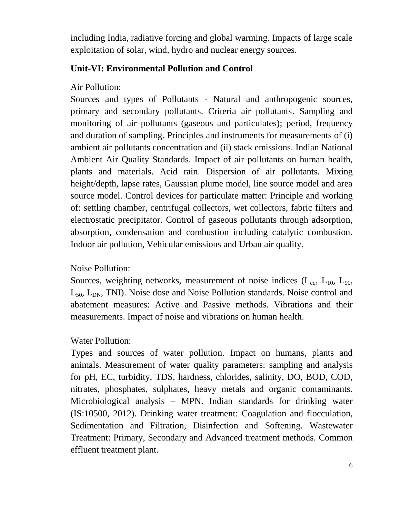including India, radiative forcing and global warming. Impacts of large scale exploitation of solar, wind, hydro and nuclear energy sources.

#### **Unit-VI: Environmental Pollution and Control**

#### Air Pollution:

Sources and types of Pollutants - Natural and anthropogenic sources, primary and secondary pollutants. Criteria air pollutants. Sampling and monitoring of air pollutants (gaseous and particulates); period, frequency and duration of sampling. Principles and instruments for measurements of (i) ambient air pollutants concentration and (ii) stack emissions. Indian National Ambient Air Quality Standards. Impact of air pollutants on human health, plants and materials. Acid rain. Dispersion of air pollutants. Mixing height/depth, lapse rates, Gaussian plume model, line source model and area source model. Control devices for particulate matter: Principle and working of: settling chamber, centrifugal collectors, wet collectors, fabric filters and electrostatic precipitator. Control of gaseous pollutants through adsorption, absorption, condensation and combustion including catalytic combustion. Indoor air pollution, Vehicular emissions and Urban air quality.

#### Noise Pollution:

Sources, weighting networks, measurement of noise indices  $(L_{eq}, L_{10}, L_{90},$  $L_{50}$ ,  $L_{DN}$ , TNI). Noise dose and Noise Pollution standards. Noise control and abatement measures: Active and Passive methods. Vibrations and their measurements. Impact of noise and vibrations on human health.

#### Water Pollution:

Types and sources of water pollution. Impact on humans, plants and animals. Measurement of water quality parameters: sampling and analysis for pH, EC, turbidity, TDS, hardness, chlorides, salinity, DO, BOD, COD, nitrates, phosphates, sulphates, heavy metals and organic contaminants. Microbiological analysis – MPN. Indian standards for drinking water (IS:10500, 2012). Drinking water treatment: Coagulation and flocculation, Sedimentation and Filtration, Disinfection and Softening. Wastewater Treatment: Primary, Secondary and Advanced treatment methods. Common effluent treatment plant.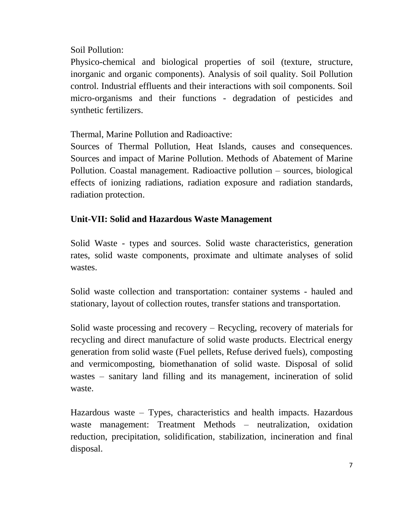### Soil Pollution:

Physico-chemical and biological properties of soil (texture, structure, inorganic and organic components). Analysis of soil quality. Soil Pollution control. Industrial effluents and their interactions with soil components. Soil micro-organisms and their functions - degradation of pesticides and synthetic fertilizers.

Thermal, Marine Pollution and Radioactive:

Sources of Thermal Pollution, Heat Islands, causes and consequences. Sources and impact of Marine Pollution. Methods of Abatement of Marine Pollution. Coastal management. Radioactive pollution – sources, biological effects of ionizing radiations, radiation exposure and radiation standards, radiation protection.

## **Unit-VII: Solid and Hazardous Waste Management**

Solid Waste - types and sources. Solid waste characteristics, generation rates, solid waste components, proximate and ultimate analyses of solid wastes.

Solid waste collection and transportation: container systems - hauled and stationary, layout of collection routes, transfer stations and transportation.

Solid waste processing and recovery – Recycling, recovery of materials for recycling and direct manufacture of solid waste products. Electrical energy generation from solid waste (Fuel pellets, Refuse derived fuels), composting and vermicomposting, biomethanation of solid waste. Disposal of solid wastes – sanitary land filling and its management, incineration of solid waste.

Hazardous waste – Types, characteristics and health impacts. Hazardous waste management: Treatment Methods – neutralization, oxidation reduction, precipitation, solidification, stabilization, incineration and final disposal.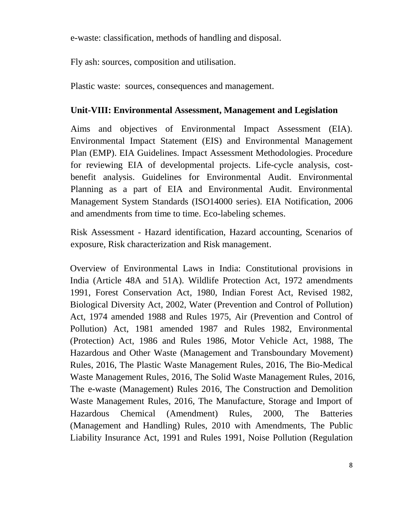e-waste: classification, methods of handling and disposal.

Fly ash: sources, composition and utilisation.

Plastic waste: sources, consequences and management.

#### **Unit-VIII: Environmental Assessment, Management and Legislation**

Aims and objectives of Environmental Impact Assessment (EIA). Environmental Impact Statement (EIS) and Environmental Management Plan (EMP). EIA Guidelines. Impact Assessment Methodologies. Procedure for reviewing EIA of developmental projects. Life-cycle analysis, costbenefit analysis. Guidelines for Environmental Audit. Environmental Planning as a part of EIA and Environmental Audit. Environmental Management System Standards (ISO14000 series). EIA Notification, 2006 and amendments from time to time. Eco-labeling schemes.

Risk Assessment - Hazard identification, Hazard accounting, Scenarios of exposure, Risk characterization and Risk management.

Overview of Environmental Laws in India: Constitutional provisions in India (Article 48A and 51A). Wildlife Protection Act, 1972 amendments 1991, Forest Conservation Act, 1980, Indian Forest Act, Revised 1982, Biological Diversity Act, 2002, Water (Prevention and Control of Pollution) Act, 1974 amended 1988 and Rules 1975, Air (Prevention and Control of Pollution) Act, 1981 amended 1987 and Rules 1982, Environmental (Protection) Act, 1986 and Rules 1986, Motor Vehicle Act, 1988, The Hazardous and Other Waste (Management and Transboundary Movement) Rules, 2016, The Plastic Waste Management Rules, 2016, The Bio-Medical Waste Management Rules, 2016, The Solid Waste Management Rules, 2016, The e-waste (Management) Rules 2016, The Construction and Demolition Waste Management Rules, 2016, The Manufacture, Storage and Import of Hazardous Chemical (Amendment) Rules, 2000, The Batteries (Management and Handling) Rules, 2010 with Amendments, The Public Liability Insurance Act, 1991 and Rules 1991, Noise Pollution (Regulation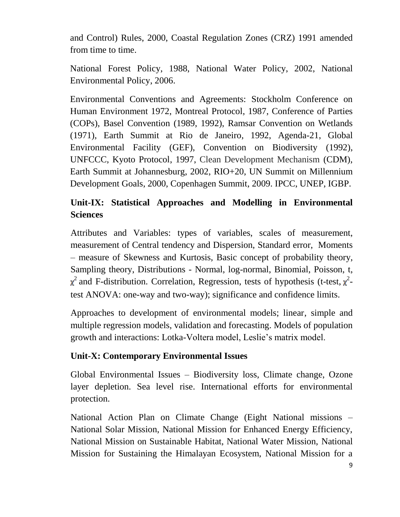and Control) Rules, 2000, Coastal Regulation Zones (CRZ) 1991 amended from time to time.

National Forest Policy, 1988, National Water Policy, 2002, National Environmental Policy, 2006.

Environmental Conventions and Agreements: Stockholm Conference on Human Environment 1972, Montreal Protocol, 1987, Conference of Parties (COPs), Basel Convention (1989, 1992), Ramsar Convention on Wetlands (1971), Earth Summit at Rio de Janeiro, 1992, Agenda-21, Global Environmental Facility (GEF), Convention on Biodiversity (1992), UNFCCC, Kyoto Protocol, 1997, Clean Development Mechanism (CDM), Earth Summit at Johannesburg, 2002, RIO+20, UN Summit on Millennium Development Goals, 2000, Copenhagen Summit, 2009. IPCC, UNEP, IGBP.

# **Unit-IX: Statistical Approaches and Modelling in Environmental Sciences**

Attributes and Variables: types of variables, scales of measurement, measurement of Central tendency and Dispersion, Standard error, Moments – measure of Skewness and Kurtosis, Basic concept of probability theory, Sampling theory, Distributions - Normal, log-normal, Binomial, Poisson, t, <sup>2</sup> and F-distribution. Correlation, Regression, tests of hypothesis (t-test,  $\chi^2$ test ANOVA: one-way and two-way); significance and confidence limits.

Approaches to development of environmental models; linear, simple and multiple regression models, validation and forecasting. Models of population growth and interactions: Lotka-Voltera model, Leslie's matrix model.

#### **Unit-X: Contemporary Environmental Issues**

Global Environmental Issues – Biodiversity loss, Climate change, Ozone layer depletion. Sea level rise. International efforts for environmental protection.

National Action Plan on Climate Change (Eight National missions – National Solar Mission, National Mission for Enhanced Energy Efficiency, National Mission on Sustainable Habitat, National Water Mission, National Mission for Sustaining the Himalayan Ecosystem, National Mission for a